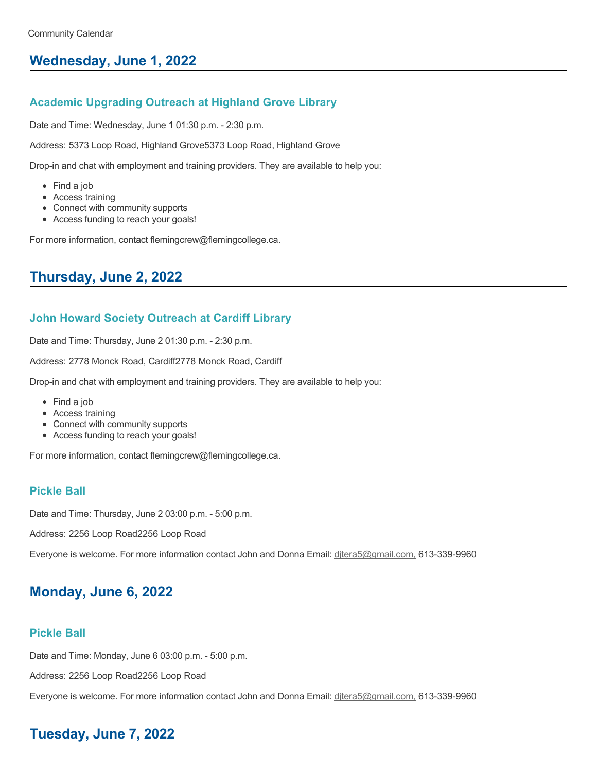# **Wednesday, June 1, 2022**

### **Academic Upgrading Outreach at Highland Grove Library**

Date and Time: Wednesday, June 1 01:30 p.m. - 2:30 p.m.

Address: 5373 Loop Road, Highland Grove5373 Loop Road, Highland Grove

Drop-in and chat with employment and training providers. They are available to help you:

- Find a job
- Access training
- Connect with community supports
- Access funding to reach your goals!

For more information, contact flemingcrew@flemingcollege.ca.

# **Thursday, June 2, 2022**

## **John Howard Society Outreach at Cardiff Library**

Date and Time: Thursday, June 2 01:30 p.m. - 2:30 p.m.

Address: 2778 Monck Road, Cardiff2778 Monck Road, Cardiff

Drop-in and chat with employment and training providers. They are available to help you:

- Find a job
- Access training
- Connect with community supports
- Access funding to reach your goals!

For more information, contact flemingcrew@flemingcollege.ca.

### **Pickle Ball**

Date and Time: Thursday, June 2 03:00 p.m. - 5:00 p.m.

Address: 2256 Loop Road2256 Loop Road

Everyone is welcome. For more information contact John and Donna Email: [djtera5@gmail.com,](mailto:djtera5@gmail.com,) 613-339-9960

# **Monday, June 6, 2022**

## **Pickle Ball**

Date and Time: Monday, June 6 03:00 p.m. - 5:00 p.m.

Address: 2256 Loop Road2256 Loop Road

Everyone is welcome. For more information contact John and Donna Email: ditera5@gmail.com, 613-339-9960

# **Tuesday, June 7, 2022**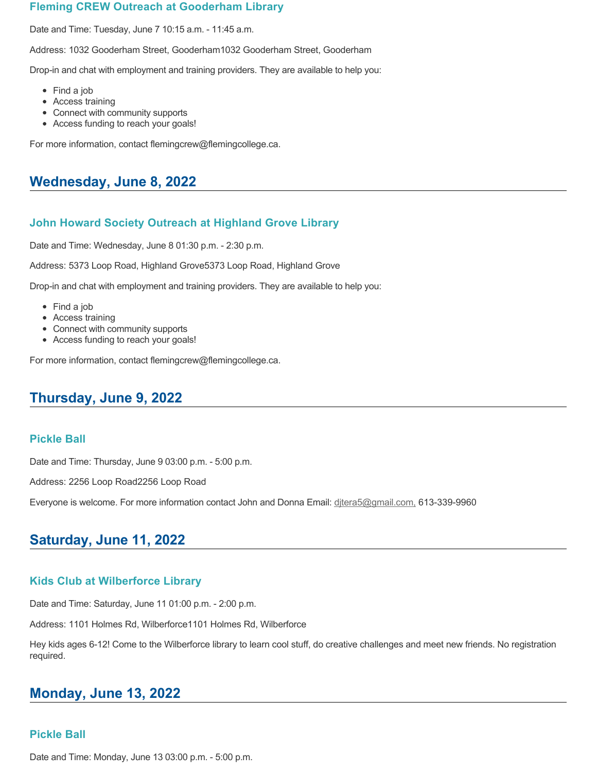### **Fleming CREW Outreach at Gooderham Library**

Date and Time: Tuesday, June 7 10:15 a.m. - 11:45 a.m.

Address: 1032 Gooderham Street, Gooderham1032 Gooderham Street, Gooderham

Drop-in and chat with employment and training providers. They are available to help you:

- Find a job
- Access training
- Connect with community supports
- Access funding to reach your goals!

For more information, contact flemingcrew@flemingcollege.ca.

## **Wednesday, June 8, 2022**

### **John Howard Society Outreach at Highland Grove Library**

Date and Time: Wednesday, June 8 01:30 p.m. - 2:30 p.m.

Address: 5373 Loop Road, Highland Grove5373 Loop Road, Highland Grove

Drop-in and chat with employment and training providers. They are available to help you:

- Find a job
- Access training
- Connect with community supports
- Access funding to reach your goals!

For more information, contact flemingcrew@flemingcollege.ca.

## **Thursday, June 9, 2022**

#### **Pickle Ball**

Date and Time: Thursday, June 9 03:00 p.m. - 5:00 p.m.

Address: 2256 Loop Road2256 Loop Road

Everyone is welcome. For more information contact John and Donna Email: ditera5@gmail.com, 613-339-9960

## **Saturday, June 11, 2022**

### **Kids Club at Wilberforce Library**

Date and Time: Saturday, June 11 01:00 p.m. - 2:00 p.m.

Address: 1101 Holmes Rd, Wilberforce1101 Holmes Rd, Wilberforce

Hey kids ages 6-12! Come to the Wilberforce library to learn cool stuff, do creative challenges and meet new friends. No registration required.

## **Monday, June 13, 2022**

### **Pickle Ball**

Date and Time: Monday, June 13 03:00 p.m. - 5:00 p.m.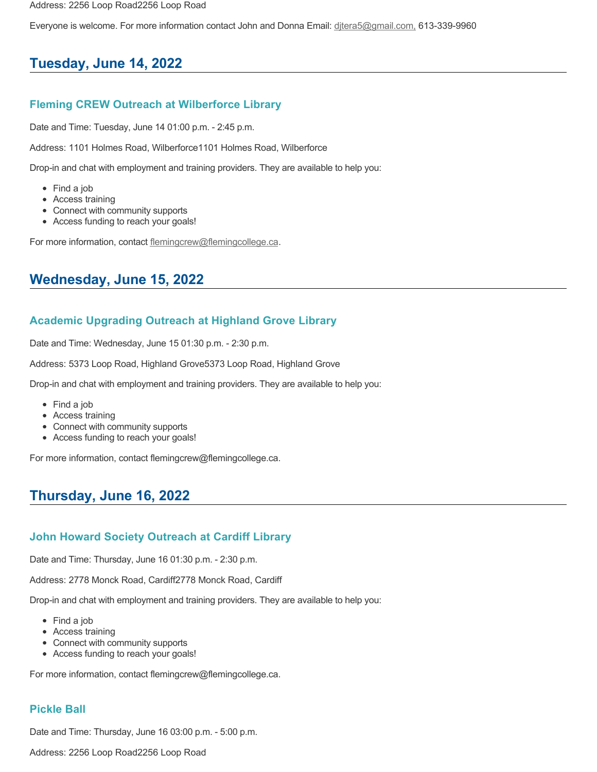Everyone is welcome. For more information contact John and Donna Email: [djtera5@gmail.com,](mailto:djtera5@gmail.com,) 613-339-9960

## **Tuesday, June 14, 2022**

### **Fleming CREW Outreach at Wilberforce Library**

Date and Time: Tuesday, June 14 01:00 p.m. - 2:45 p.m.

Address: 1101 Holmes Road, Wilberforce1101 Holmes Road, Wilberforce

Drop-in and chat with employment and training providers. They are available to help you:

- Find a job
- Access training
- Connect with community supports
- Access funding to reach your goals!

For more information, contact [flemingcrew@flemingcollege.ca.](mailto:flemingcrew@flemingcollege.ca)

## **Wednesday, June 15, 2022**

### **Academic Upgrading Outreach at Highland Grove Library**

Date and Time: Wednesday, June 15 01:30 p.m. - 2:30 p.m.

Address: 5373 Loop Road, Highland Grove5373 Loop Road, Highland Grove

Drop-in and chat with employment and training providers. They are available to help you:

- Find a job
- Access training
- Connect with community supports
- Access funding to reach your goals!

For more information, contact flemingcrew@flemingcollege.ca.

## **Thursday, June 16, 2022**

### **John Howard Society Outreach at Cardiff Library**

Date and Time: Thursday, June 16 01:30 p.m. - 2:30 p.m.

Address: 2778 Monck Road, Cardiff2778 Monck Road, Cardiff

Drop-in and chat with employment and training providers. They are available to help you:

- Find a job
- Access training
- Connect with community supports
- Access funding to reach your goals!

For more information, contact flemingcrew@flemingcollege.ca.

### **Pickle Ball**

Date and Time: Thursday, June 16 03:00 p.m. - 5:00 p.m.

Address: 2256 Loop Road2256 Loop Road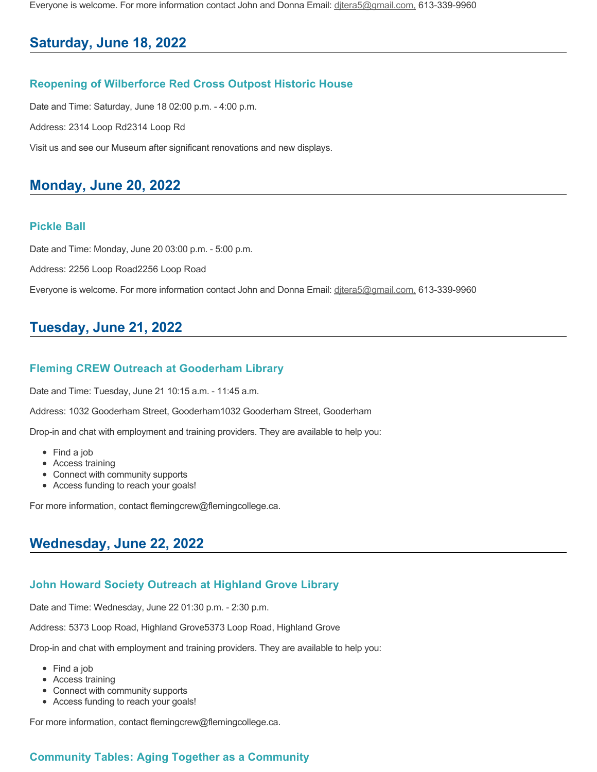Everyone is welcome. For more information contact John and Donna Email: [djtera5@gmail.com,](mailto:djtera5@gmail.com,) 613-339-9960

## **Saturday, June 18, 2022**

### **Reopening of Wilberforce Red Cross Outpost Historic House**

Date and Time: Saturday, June 18 02:00 p.m. - 4:00 p.m.

Address: 2314 Loop Rd2314 Loop Rd

Visit us and see our Museum after significant renovations and new displays.

## **Monday, June 20, 2022**

### **Pickle Ball**

Date and Time: Monday, June 20 03:00 p.m. - 5:00 p.m.

Address: 2256 Loop Road2256 Loop Road

Everyone is welcome. For more information contact John and Donna Email: ditera5@gmail.com, 613-339-9960

## **Tuesday, June 21, 2022**

### **Fleming CREW Outreach at Gooderham Library**

Date and Time: Tuesday, June 21 10:15 a.m. - 11:45 a.m.

Address: 1032 Gooderham Street, Gooderham1032 Gooderham Street, Gooderham

Drop-in and chat with employment and training providers. They are available to help you:

- Find a job
- Access training
- Connect with community supports
- Access funding to reach your goals!

For more information, contact flemingcrew@flemingcollege.ca.

## **Wednesday, June 22, 2022**

### **John Howard Society Outreach at Highland Grove Library**

Date and Time: Wednesday, June 22 01:30 p.m. - 2:30 p.m.

Address: 5373 Loop Road, Highland Grove5373 Loop Road, Highland Grove

Drop-in and chat with employment and training providers. They are available to help you:

- Find a job
- Access training
- Connect with community supports
- Access funding to reach your goals!

For more information, contact flemingcrew@flemingcollege.ca.

### **Community Tables: Aging Together as a Community**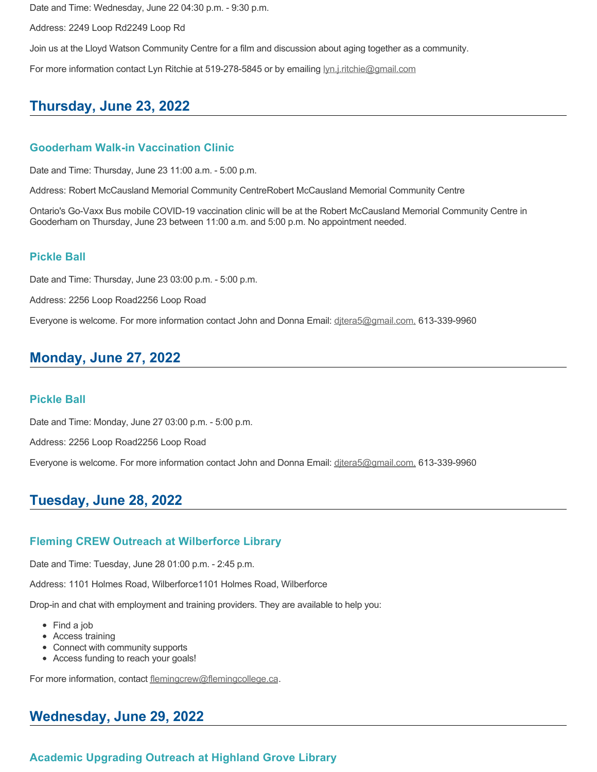Date and Time: Wednesday, June 22 04:30 p.m. - 9:30 p.m.

Address: 2249 Loop Rd2249 Loop Rd

Join us at the Lloyd Watson Community Centre for a film and discussion about aging together as a community.

For more information contact Lyn Ritchie at 519-278-5845 or by emailing [lyn.j.ritchie@gmail.com](mailto:lyn.j.ritchie@gmail.com)

## **Thursday, June 23, 2022**

### **Gooderham Walk-in Vaccination Clinic**

Date and Time: Thursday, June 23 11:00 a.m. - 5:00 p.m.

Address: Robert McCausland Memorial Community CentreRobert McCausland Memorial Community Centre

Ontario's Go-Vaxx Bus mobile COVID-19 vaccination clinic will be at the Robert McCausland Memorial Community Centre in Gooderham on Thursday, June 23 between 11:00 a.m. and 5:00 p.m. No appointment needed.

#### **Pickle Ball**

Date and Time: Thursday, June 23 03:00 p.m. - 5:00 p.m.

Address: 2256 Loop Road2256 Loop Road

Everyone is welcome. For more information contact John and Donna Email: ditera5@gmail.com, 613-339-9960

## **Monday, June 27, 2022**

### **Pickle Ball**

Date and Time: Monday, June 27 03:00 p.m. - 5:00 p.m.

Address: 2256 Loop Road2256 Loop Road

Everyone is welcome. For more information contact John and Donna Email: [djtera5@gmail.com,](mailto:djtera5@gmail.com,) 613-339-9960

## **Tuesday, June 28, 2022**

### **Fleming CREW Outreach at Wilberforce Library**

Date and Time: Tuesday, June 28 01:00 p.m. - 2:45 p.m.

Address: 1101 Holmes Road, Wilberforce1101 Holmes Road, Wilberforce

Drop-in and chat with employment and training providers. They are available to help you:

- Find a job
- Access training
- Connect with community supports
- Access funding to reach your goals!

For more information, contact [flemingcrew@flemingcollege.ca.](mailto:flemingcrew@flemingcollege.ca)

### **Wednesday, June 29, 2022**

### **Academic Upgrading Outreach at Highland Grove Library**